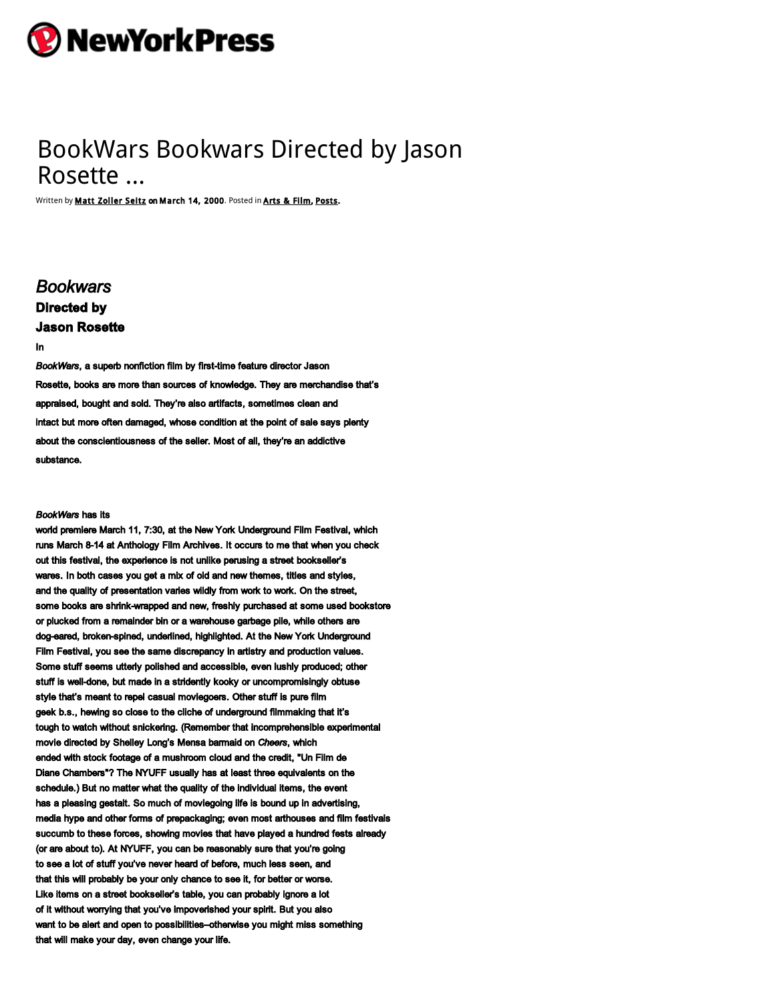

# BookWars Bookwars Directed by Jason Rosette …

Written by **Matt Zoller Seitz on March 14, 2000**. Posted in **Arts & Film, [Posts](http://nypress.com/posts/).** 

# *Bookwars* **Directed by Jason Rosette**

#### In

BookWars, a superb nonfiction film by first-time feature director Jason Rosette, books are more than sources of knowledge. They are merchandise that's appraised, bought and sold. They're also artifacts, sometimes clean and intact but more often damaged, whose condition at the point of sale says plenty about the conscientiousness of the seller. Most of all, they're an addictive substance.

# *BookWars* has its

world premiere March 11, 7:30, at the New York Underground Film Festival, which runs March 814 at Anthology Film Archives. It occurs to me that when you check out this festival, the experience is not unlike perusing a street bookseller's wares. In both cases you get a mix of old and new themes, titles and styles, and the quality of presentation varies wildly from work to work. On the street, some books are shrink-wrapped and new, freshly purchased at some used bookstore or plucked from a remainder bin or a warehouse garbage pile, while others are dog-eared, broken-spined, underlined, highlighted. At the New York Underground Film Festival, you see the same discrepancy in artistry and production values. Some stuff seems utterly polished and accessible, even lushly produced; other stuff is well-done, but made in a stridently kooky or uncompromisingly obtuse style that's meant to repel casual moviegoers. Other stuff is pure film geek b.s., hewing so close to the cliche of underground filmmaking that it's tough to watch without snickering. (Remember that incomprehensible experimental movie directed by Shelley Long's Mensa barmaid on *Cheers*, which ended with stock footage of a mushroom cloud and the credit, "Un Film de Diane Chambers"? The NYUFF usually has at least three equivalents on the schedule.) But no matter what the quality of the individual items, the event has a pleasing gestalt. So much of moviegoing life is bound up in advertising, media hype and other forms of prepackaging; even most arthouses and film festivals succumb to these forces, showing movies that have played a hundred fests already (or are about to). At NYUFF, you can be reasonably sure that you're going to see a lot of stuff you've never heard of before, much less seen, and that this will probably be your only chance to see it, for better or worse. Like items on a street bookseller's table, you can probably ignore a lot of it without worrying that you've impoverished your spirit. But you also want to be alert and open to possibilities–otherwise you might miss something that will make your day, even change your life.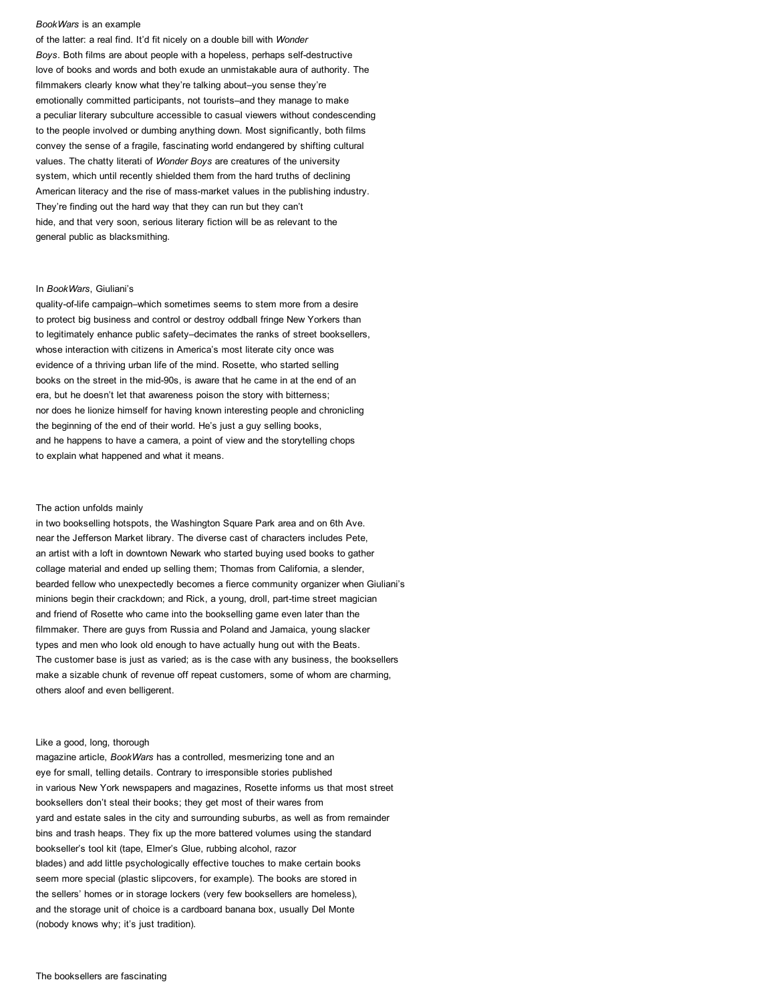#### *BookWars* is an example

of the latter: a real find. It'd fit nicely on a double bill with *Wonder* **Boys. Both films are about people with a hopeless, perhaps self-destructive** love of books and words and both exude an unmistakable aura of authority. The filmmakers clearly know what they're talking about–you sense they're emotionally committed participants, not tourists–and they manage to make a peculiar literary subculture accessible to casual viewers without condescending to the people involved or dumbing anything down. Most significantly, both films convey the sense of a fragile, fascinating world endangered by shifting cultural values. The chatty literati of *Wonder Boys* are creatures of the university system, which until recently shielded them from the hard truths of declining American literacy and the rise of mass-market values in the publishing industry. They're finding out the hard way that they can run but they can't hide, and that very soon, serious literary fiction will be as relevant to the general public as blacksmithing.

#### In *BookWars*, Giuliani's

quality-of-life campaign–which sometimes seems to stem more from a desire to protect big business and control or destroy oddball fringe New Yorkers than to legitimately enhance public safety–decimates the ranks of street booksellers, whose interaction with citizens in America's most literate city once was evidence of a thriving urban life of the mind. Rosette, who started selling books on the street in the mid-90s, is aware that he came in at the end of an era, but he doesn't let that awareness poison the story with bitterness; nor does he lionize himself for having known interesting people and chronicling the beginning of the end of their world. He's just a guy selling books, and he happens to have a camera, a point of view and the storytelling chops to explain what happened and what it means.

#### The action unfolds mainly

in two bookselling hotspots, the Washington Square Park area and on 6th Ave. near the Jefferson Market library. The diverse cast of characters includes Pete, an artist with a loft in downtown Newark who started buying used books to gather collage material and ended up selling them; Thomas from California, a slender, bearded fellow who unexpectedly becomes a fierce community organizer when Giuliani's minions begin their crackdown; and Rick, a young, droll, part-time street magician and friend of Rosette who came into the bookselling game even later than the filmmaker. There are guys from Russia and Poland and Jamaica, young slacker types and men who look old enough to have actually hung out with the Beats. The customer base is just as varied; as is the case with any business, the booksellers make a sizable chunk of revenue off repeat customers, some of whom are charming, others aloof and even belligerent.

# Like a good, long, thorough

magazine article, *BookWars* has a controlled, mesmerizing tone and an eye for small, telling details. Contrary to irresponsible stories published in various New York newspapers and magazines, Rosette informs us that most street booksellers don't steal their books; they get most of their wares from yard and estate sales in the city and surrounding suburbs, as well as from remainder bins and trash heaps. They fix up the more battered volumes using the standard bookseller's tool kit (tape, Elmer's Glue, rubbing alcohol, razor blades) and add little psychologically effective touches to make certain books seem more special (plastic slipcovers, for example). The books are stored in the sellers' homes or in storage lockers (very few booksellers are homeless), and the storage unit of choice is a cardboard banana box, usually Del Monte (nobody knows why; it's just tradition).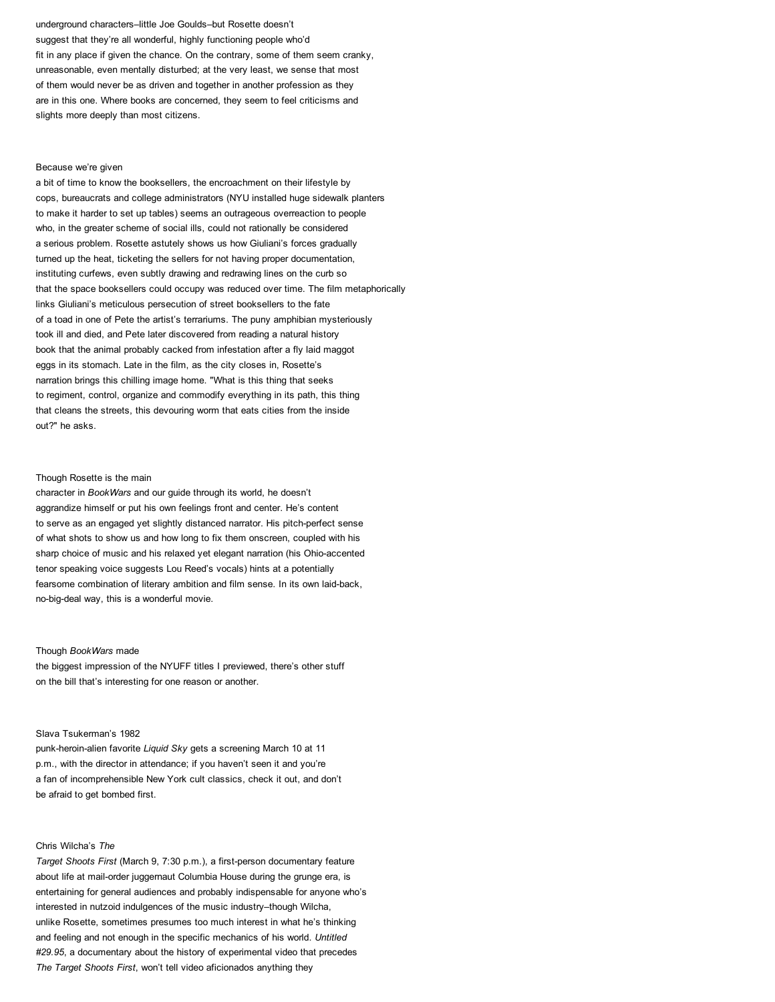underground characters–little Joe Goulds–but Rosette doesn't suggest that they're all wonderful, highly functioning people who'd fit in any place if given the chance. On the contrary, some of them seem cranky, unreasonable, even mentally disturbed; at the very least, we sense that most of them would never be as driven and together in another profession as they are in this one. Where books are concerned, they seem to feel criticisms and slights more deeply than most citizens.

#### Because we're given

a bit of time to know the booksellers, the encroachment on their lifestyle by cops, bureaucrats and college administrators (NYU installed huge sidewalk planters to make it harder to set up tables) seems an outrageous overreaction to people who, in the greater scheme of social ills, could not rationally be considered a serious problem. Rosette astutely shows us how Giuliani's forces gradually turned up the heat, ticketing the sellers for not having proper documentation, instituting curfews, even subtly drawing and redrawing lines on the curb so that the space booksellers could occupy was reduced over time. The film metaphorically links Giuliani's meticulous persecution of street booksellers to the fate of a toad in one of Pete the artist's terrariums. The puny amphibian mysteriously took ill and died, and Pete later discovered from reading a natural history book that the animal probably cacked from infestation after a fly laid maggot eggs in its stomach. Late in the film, as the city closes in, Rosette's narration brings this chilling image home. "What is this thing that seeks to regiment, control, organize and commodify everything in its path, this thing that cleans the streets, this devouring worm that eats cities from the inside out?" he asks.

# Though Rosette is the main

character in *BookWars* and our guide through its world, he doesn't aggrandize himself or put his own feelings front and center. He's content to serve as an engaged yet slightly distanced narrator. His pitch-perfect sense of what shots to show us and how long to fix them onscreen, coupled with his sharp choice of music and his relaxed yet elegant narration (his Ohio-accented tenor speaking voice suggests Lou Reed's vocals) hints at a potentially fearsome combination of literary ambition and film sense. In its own laid-back, no-big-deal way, this is a wonderful movie.

#### Though *BookWars* made

the biggest impression of the NYUFF titles I previewed, there's other stuff on the bill that's interesting for one reason or another.

#### Slava Tsukerman's 1982

punk-heroin-alien favorite *Liquid Sky* gets a screening March 10 at 11 p.m., with the director in attendance; if you haven't seen it and you're a fan of incomprehensible New York cult classics, check it out, and don't be afraid to get bombed first.

# Chris Wilcha's *The*

*Target Shoots First* (March 9, 7:30 p.m.), a first-person documentary feature about life at mail-order juggernaut Columbia House during the grunge era, is entertaining for general audiences and probably indispensable for anyone who's interested in nutzoid indulgences of the music industry–though Wilcha, unlike Rosette, sometimes presumes too much interest in what he's thinking and feeling and not enough in the specific mechanics of his world. *Untitled #29.95*, a documentary about the history of experimental video that precedes *The Target Shoots First*, won't tell video aficionados anything they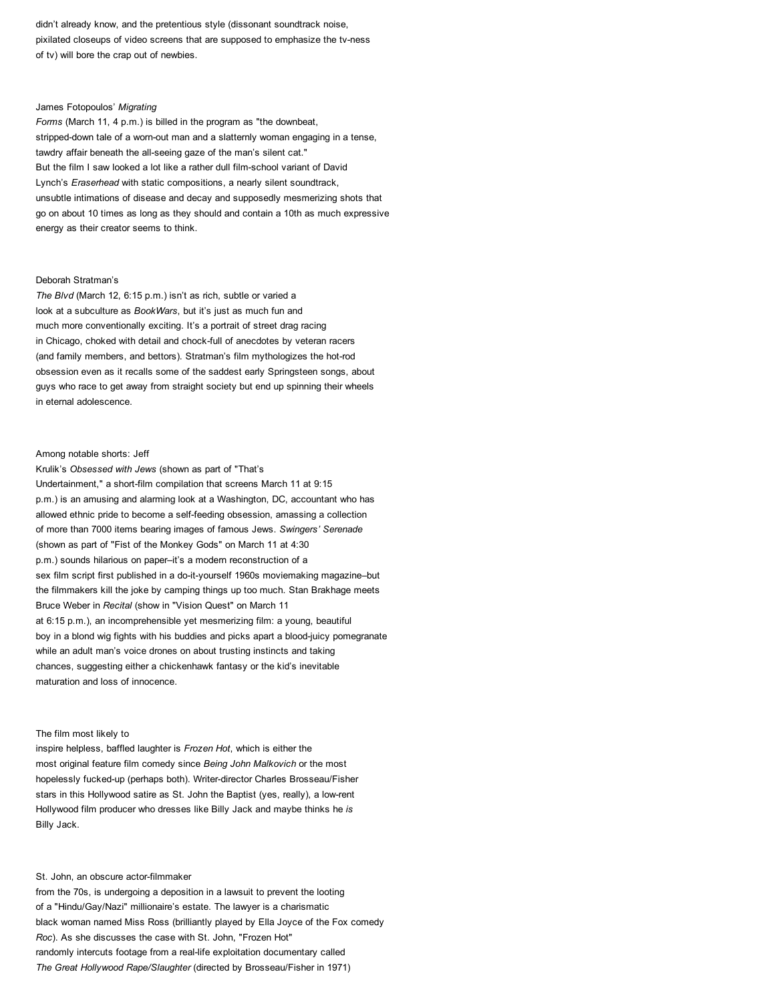didn't already know, and the pretentious style (dissonant soundtrack noise, pixilated closeups of video screens that are supposed to emphasize the tv-ness of tv) will bore the crap out of newbies.

# James Fotopoulos' *Migrating*

*Forms* (March 11, 4 p.m.) is billed in the program as "the downbeat, stripped-down tale of a worn-out man and a slatternly woman engaging in a tense, tawdry affair beneath the all-seeing gaze of the man's silent cat." But the film I saw looked a lot like a rather dull film-school variant of David Lynch's *Eraserhead* with static compositions, a nearly silent soundtrack, unsubtle intimations of disease and decay and supposedly mesmerizing shots that go on about 10 times as long as they should and contain a 10th as much expressive energy as their creator seems to think.

# Deborah Stratman's

*The Blvd* (March 12, 6:15 p.m.) isn't as rich, subtle or varied a look at a subculture as *BookWars*, but it's just as much fun and much more conventionally exciting. It's a portrait of street drag racing in Chicago, choked with detail and chock-full of anecdotes by veteran racers (and family members, and bettors). Stratman's film mythologizes the hot-rod obsession even as it recalls some of the saddest early Springsteen songs, about guys who race to get away from straight society but end up spinning their wheels in eternal adolescence.

# Among notable shorts: Jeff

Krulik's *Obsessed with Jews* (shown as part of "That's Undertainment," a short-film compilation that screens March 11 at 9:15 p.m.) is an amusing and alarming look at a Washington, DC, accountant who has allowed ethnic pride to become a self-feeding obsession, amassing a collection of more than 7000 items bearing images of famous Jews. *Swingers' Serenade* (shown as part of "Fist of the Monkey Gods" on March 11 at 4:30 p.m.) sounds hilarious on paper–it's a modern reconstruction of a sex film script first published in a do-it-yourself 1960s moviemaking magazine–but the filmmakers kill the joke by camping things up too much. Stan Brakhage meets Bruce Weber in *Recital* (show in "Vision Quest" on March 11 at 6:15 p.m.), an incomprehensible yet mesmerizing film: a young, beautiful boy in a blond wig fights with his buddies and picks apart a blood-juicy pomegranate while an adult man's voice drones on about trusting instincts and taking chances, suggesting either a chickenhawk fantasy or the kid's inevitable maturation and loss of innocence.

#### The film most likely to

inspire helpless, baffled laughter is *Frozen Hot*, which is either the most original feature film comedy since *Being John Malkovich* or the most hopelessly fucked-up (perhaps both). Writer-director Charles Brosseau/Fisher stars in this Hollywood satire as St. John the Baptist (yes, really), a low-rent Hollywood film producer who dresses like Billy Jack and maybe thinks he *is* Billy Jack.

# St. John, an obscure actor-filmmaker

from the 70s, is undergoing a deposition in a lawsuit to prevent the looting of a "Hindu/Gay/Nazi" millionaire's estate. The lawyer is a charismatic black woman named Miss Ross (brilliantly played by Ella Joyce of the Fox comedy *Roc*). As she discusses the case with St. John, "Frozen Hot" randomly intercuts footage from a real-life exploitation documentary called *The Great Hollywood Rape/Slaughter* (directed by Brosseau/Fisher in 1971)